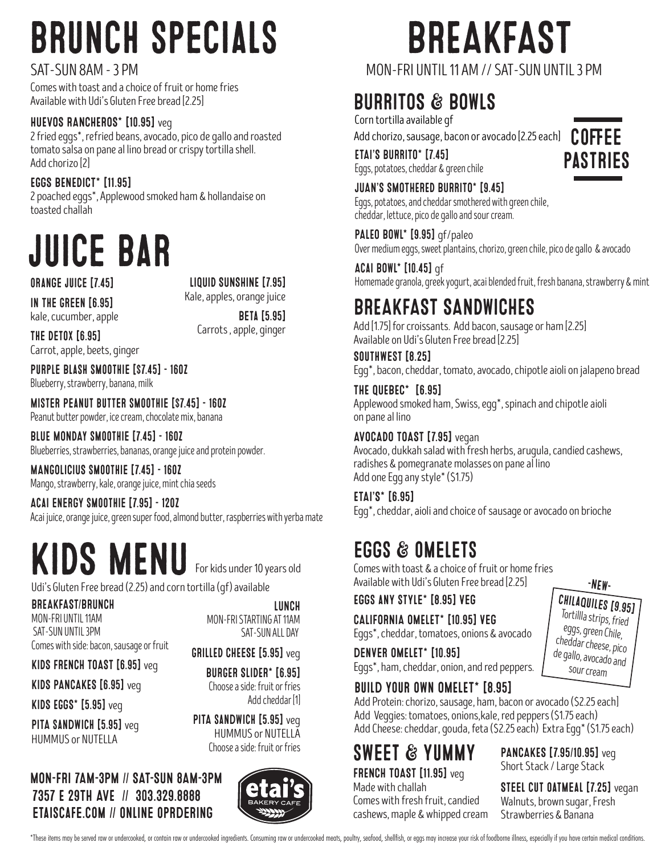# brunch specials

#### SAT-SUN 8AM - 3 PM

Comes with toast and a choice of fruit or home fries Available with Udi's Gluten Free bread [2.25]

#### HUEVOS RANCHEROS\* [10.95] veg

2 fried eggs\*, refried beans, avocado, pico de gallo and roasted tomato salsa on pane al lino bread or crispy tortilla shell. Add chorizo [2]

#### EGGS BENEDICT\* [11.95]

2 poached eggs\*, Applewood smoked ham & hollandaise on toasted challah

## juice bar

#### orange juice [7.45]

LIQUID SUNSHINE [7.95] Kale, apples, orange juice

In The Green [6.95] kale, cucumber, apple

Beta [5.95]

The Detox [6.95] Carrot, apple, beets, ginger Carrots , apple, ginger

Purple Blash smoothie [\$7.45] - 16oz Blueberry, strawberry, banana, milk

Mister Peanut butter smoothie [\$7.45] - 16oz Peanut butter powder, ice cream, chocolate mix, banana

BLUE MONDAY smoothie [7.45] - 16oz Blueberries, strawberries, bananas, orange juice and protein powder.

MANGOLICIUS smoothie [7.45] - 16oz Mango, strawberry, kale, orange juice, mint chia seeds

Acai energy smoothie [7.95] - 12oz Acai juice, orange juice, green super food, almond butter, raspberries with yerba mate

## KIDS MENU

Udi's Gluten Free bread (2.25) and corn tortilla (gf) available

BREAKFAST/BRUNCH MON-FRI UNTIL 11AM SAT-SUN UNTIL 3PM Comes with side: bacon, sausage or fruit

KIDS FRENCH TOAST [6.95] veg

KIDS PANCAKES [6.95] veg

KIDS  $EGS*$  [5.95] veg

PITA SANDWICH [5.95] veg HUMMUS or NUTELLA

LUNCH MON-FRI STARTING AT 11AM SAT-SUN ALL DAY

GRILLED CHEESE [5.95] veg

For kids under 10 years old

BURGER SLIDER\* [6.95] Choose a side: fruit or fries Add cheddar [1]

PITA SANDWICH [5.95] veg HUMMUS or NUTELLA Choose a side: fruit or fries

#### 7357 E 29TH AVE // 303.329.8888 etaiscafe.com // online oprdering MON-FRI 7AM-3PM // SAT-SUN 8AM-3PM



## BREAKFAST

#### MON-FRI UNTIL 11 AM // SAT-SUN UNTIL 3 PM

### **BURRITOS & BOWLS**

Add chorizo, sausage, bacon or avocado [2.25 each] Corn tortilla available gf

**ETAI'S BURRITO\* [7.45]** Eggs, potatoes, cheddar & green chile

#### JUAN'S SMOTHERED BURRITO\* [9.45] Eggs, potatoes, and cheddar smothered with green chile, cheddar, lettuce, pico de gallo and sour cream.

PALEO BOWL\* [9.95] qf/paleo Over medium eggs, sweet plantains, chorizo, green chile, pico de gallo & avocado

Acai BOWL\* [10.45] gf Homemade granola, greek yogurt, acai blended fruit, fresh banana, strawberry & mint

### BREAKFAST SANDWICHES

Add [1.75] for croissants. Add bacon, sausage or ham [2.25] Available on Udi's Gluten Free bread [2.25]

Southwest [8.25] Egg\*, bacon, cheddar, tomato, avocado, chipotle aioli on jalapeno bread

THE QUEBEC\* [6.95] Applewood smoked ham, Swiss, egg\*, spinach and chipotle aioli on pane al lino

#### AVOCADO TOAST [7.95] vegan

Avocado, dukkah salad with fresh herbs, arugula, candied cashews, radishes & pomegranate molasses on pane al lino Add one Egg any style\* (\$1.75)

ETAI'S\* [6.95] Egg\*, cheddar, aioli and choice of sausage or avocado on brioche

### eggs & omelets

Comes with toast & a choice of fruit or home fries Available with Udi's Gluten Free bread [2.25]

Eggs any style\* [8.95] veg

#### CALIFORNIA OMELET\* [10.95] veg

Eggs\*, cheddar, tomatoes, onions & avocado

denver OMELET\* [10.95] Eggs\*, ham, cheddar, onion, and red peppers. -NEW-

chilaquiles [9.95] Tortillla strips, fried eggs, green Chile, cheddar cheese, pico de gallo, avocado and sour cream

#### build your own OMELET\* [8.95]

Add Protein: chorizo, sausage, ham, bacon or avocado (\$2.25 each] Add Veggies: tomatoes, onions,kale, red peppers (\$1.75 each) Add Cheese: cheddar, gouda, feta (\$2.25 each) Extra Egg\* (\$1.75 each)

FRENCH TOAST [11.95] veg sweet & yummy

Made with challah Comes with fresh fruit, candied cashews, maple & whipped cream

PANCAKES [7.95/10.95] veg Short Stack / Large Stack

STEEL CUT OATMEAL [7.25] vegan Walnuts, brown sugar, Fresh Strawberries & Banana